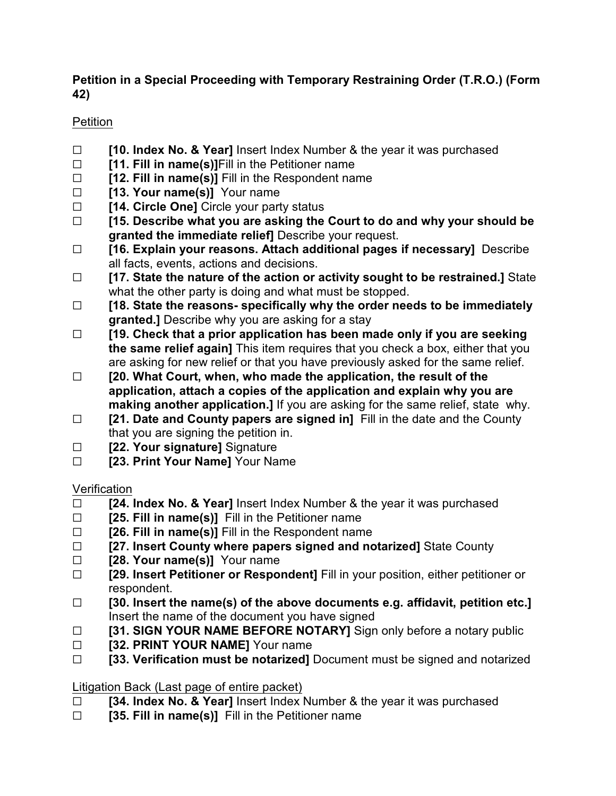## **Petition in a Special Proceeding with Temporary Restraining Order (T.R.O.) (Form 42)**

## Petition

- G **[10. Index No. & Year]** Insert Index Number & the year it was purchased
- $\Box$  **[11. Fill in name(s)]**Fill in the Petitioner name
- $\Box$  **[12. Fill in name(s)]** Fill in the Respondent name
- □ **[13. Your name(s)]** Your name
- □ **[14. Circle One]** Circle your party status
- G **[15. Describe what you are asking the Court to do and why your should be granted the immediate relief]** Describe your request.
- G **[16. Explain your reasons. Attach additional pages if necessary]** Describe all facts, events, actions and decisions.
- G **[17. State the nature of the action or activity sought to be restrained.]** State what the other party is doing and what must be stopped.
- G **[18. State the reasons- specifically why the order needs to be immediately granted.]** Describe why you are asking for a stay
- G **[19. Check that a prior application has been made only if you are seeking the same relief again]** This item requires that you check a box, either that you are asking for new relief or that you have previously asked for the same relief.
- G **[20. What Court, when, who made the application, the result of the application, attach a copies of the application and explain why you are making another application.]** If you are asking for the same relief, state why.
- □ **[21. Date and County papers are signed in]** Fill in the date and the County that you are signing the petition in.
- □ **[22. Your signature]** Signature
- **Example 23. Print Your Name** Your Name

## **Verification**

- □ **[24. Index No. & Year]** Insert Index Number & the year it was purchased
- □ **[25. Fill in name(s)]** Fill in the Petitioner name
- $\Box$  **[26. Fill in name(s)]** Fill in the Respondent name
- G **[27. Insert County where papers signed and notarized]** State County
- **Example 128. Your name(s)]** Your name
- □ **[29. Insert Petitioner or Respondent]** Fill in your position, either petitioner or respondent.
- G **[30. Insert the name(s) of the above documents e.g. affidavit, petition etc.]** Insert the name of the document you have signed
- □ **[31. SIGN YOUR NAME BEFORE NOTARY]** Sign only before a notary public
- **EXECUTE: [32. PRINT YOUR NAME]** Your name
- G **[33. Verification must be notarized]** Document must be signed and notarized

## Litigation Back (Last page of entire packet)

- G **[34. Index No. & Year]** Insert Index Number & the year it was purchased
- □ **[35. Fill in name(s)]** Fill in the Petitioner name